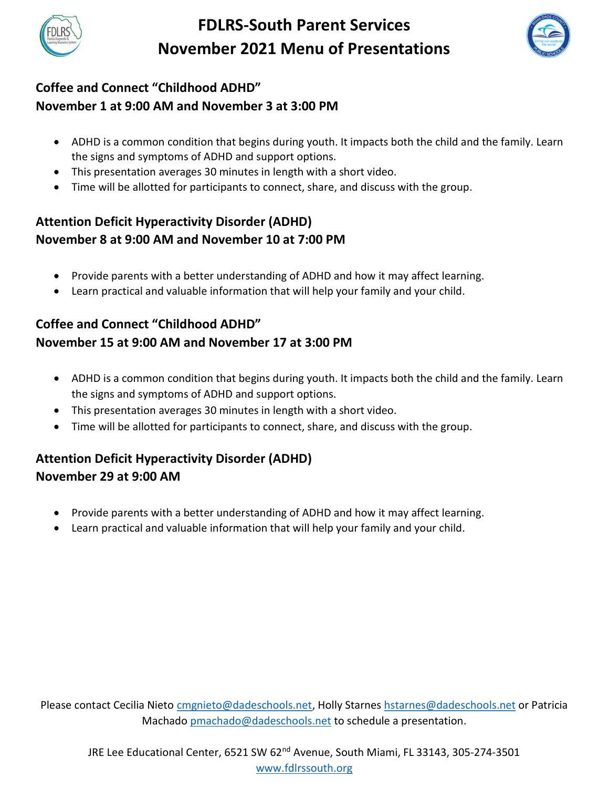

## FDLRS-South Parent Services November 2021 Menu of Presentations



## Coffee and Connect "Childhood ADHD" November 1 at 9:00 AM and November 3 at 3:00 PM

- ADHD is a common condition that begins during youth. It impacts both the child and the family. Learn the signs and symptoms of ADHD and support options.
- This presentation averages 30 minutes in length with a short video.
- Time will be allotted for participants to connect, share, and discuss with the group.

#### Attention Deficit Hyperactivity Disorder (ADHD) November 8 at 9:00 AM and November 10 at 7:00 PM

- Provide parents with a better understanding of ADHD and how it may affect learning.
- Learn practical and valuable information that will help your family and your child.

## Coffee and Connect "Childhood ADHD" November 15 at 9:00 AM and November 17 at 3:00 PM

- ADHD is a common condition that begins during youth. It impacts both the child and the family. Learn the signs and symptoms of ADHD and support options.
- This presentation averages 30 minutes in length with a short video.
- Time will be allotted for participants to connect, share, and discuss with the group.

## Attention Deficit Hyperactivity Disorder (ADHD) November 29 at 9:00 AM

- Provide parents with a better understanding of ADHD and how it may affect learning.
- Learn practical and valuable information that will help your family and your child.

Please contact Cecilia Nieto cmgnieto@dadeschools.net, Holly Starnes hstarnes@dadeschools.net or Patricia Machado pmachado@dadeschools.net to schedule a presentation.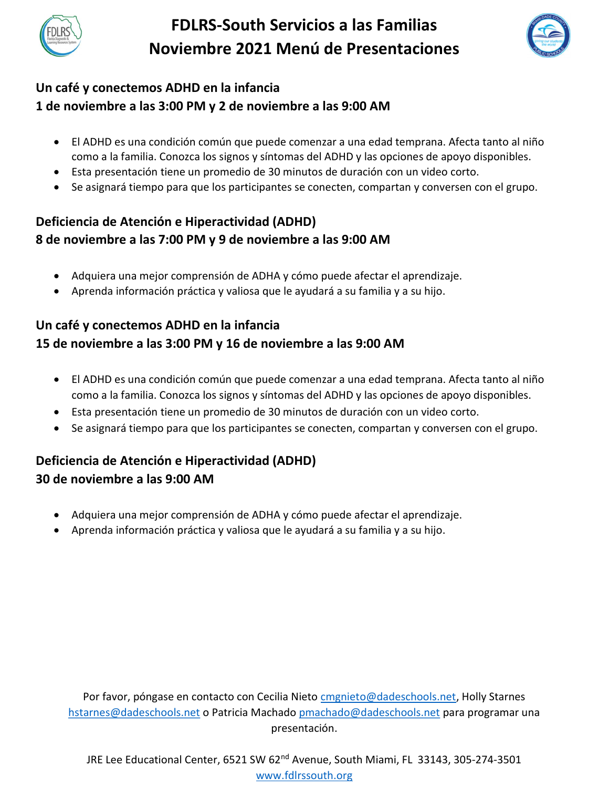

# FDLRS-South Servicios a las Familias Noviembre 2021 Menú de Presentaciones



### Un café y conectemos ADHD en la infancia 1 de noviembre a las 3:00 PM y 2 de noviembre a las 9:00 AM

- El ADHD es una condición común que puede comenzar a una edad temprana. Afecta tanto al niño como a la familia. Conozca los signos y síntomas del ADHD y las opciones de apoyo disponibles.
- Esta presentación tiene un promedio de 30 minutos de duración con un video corto.
- Se asignará tiempo para que los participantes se conecten, compartan y conversen con el grupo.

### Deficiencia de Atención e Hiperactividad (ADHD) 8 de noviembre a las 7:00 PM y 9 de noviembre a las 9:00 AM

- Adquiera una mejor comprensión de ADHA y cómo puede afectar el aprendizaje.
- Aprenda información práctica y valiosa que le ayudará a su familia y a su hijo.

## Un café y conectemos ADHD en la infancia 15 de noviembre a las 3:00 PM y 16 de noviembre a las 9:00 AM

- El ADHD es una condición común que puede comenzar a una edad temprana. Afecta tanto al niño como a la familia. Conozca los signos y síntomas del ADHD y las opciones de apoyo disponibles.
- Esta presentación tiene un promedio de 30 minutos de duración con un video corto.
- Se asignará tiempo para que los participantes se conecten, compartan y conversen con el grupo.

## Deficiencia de Atención e Hiperactividad (ADHD) 30 de noviembre a las 9:00 AM

- Adquiera una mejor comprensión de ADHA y cómo puede afectar el aprendizaje.
- Aprenda información práctica y valiosa que le ayudará a su familia y a su hijo.

Por favor, póngase en contacto con Cecilia Nieto cmgnieto@dadeschools.net, Holly Starnes hstarnes@dadeschools.net o Patricia Machado pmachado@dadeschools.net para programar una presentación.